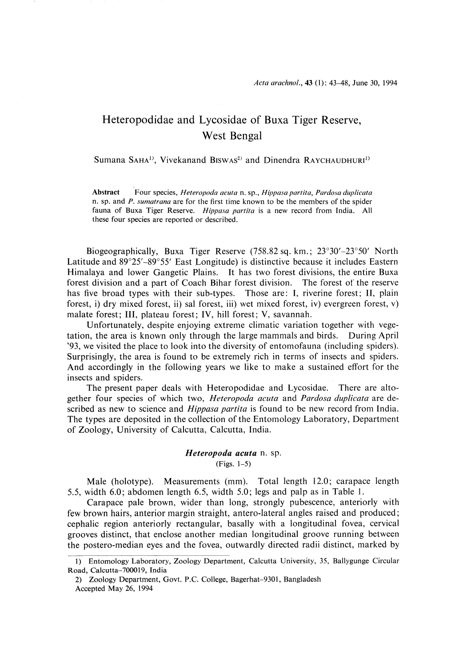# Heteropodidae and Lycosidae of Buxa Tiger Reserve, West Bengal

Sumana SAHA<sup>1)</sup>, Vivekanand BiswAs<sup>2)</sup> and Dinendra RAYCHAUDHURI<sup>1)</sup>

Abstract Four species, Heteropoda acuta n. sp., Hippasa partita, Pardosa duplicata n, sp. and P. sumatrana are for the first time known to be the members of the spider fauna of Buxa Tiger Reserve. Hippasa partita is a new record from India. All these four species are reported or described.

 Biogeographically, Buxa Tiger Reserve (758.82 sq. km.; 23°30'-23°50' North Latitude and 89°25'-89°55' East Longitude) is distinctive because it includes Eastern Himalaya and lower Gangetic Plains. It has two forest divisions, the entire Buxa forest division and a part of Coach Bihar forest division. The forest of the reserve has five broad types with their sub-types. Those are: I, riverine forest; 11, plain forest, i) dry mixed forest, ii) sal forest, iii) wet mixed forest, iv) evergreen forest, v) malate forest; III, plateau forest; IV, hill forest; V, savannah.

 Unfortunately, despite enjoying extreme climatic variation together with vegetation, the area is known only through the large mammals and birds. During April '93 , we visited the place to look into the diversity of entomofauna (including spiders). Surprisingly, the area is found to be extremely rich in terms of insects and spiders. And accordingly in the following years we like to make a sustained effort for the insects and spiders.

 The present paper deals with Heteropodidae and Lycosidae. There are altogether four species of which two, Heteropoda acuta and Pardosa duplicata are described as new to science and *Hippasa partita* is found to be new record from India. The types are deposited in the collection of the Entomology Laboratory, Department of Zoology, University of Calcutta, Calcutta, India.

# Heteropoda acuta n. sp.

(Figs. 1-5)

 Male (holotype). Measurements (mm). Total length 12.0; carapace length 5.5, width 6.0; abdomen length 6.5, width 5.0; legs and palp as in Table 1.

 Carapace pale brown, wider than long, strongly pubescence, anteriorly with few brown hairs, anterior margin straight, antero-lateral angles raised and produced; cephalic region anteriorly rectangular, basally with a longitudinal fovea, cervical grooves distinct, that enclose another median longitudinal groove running between the postero-median eyes and the fovea, outwardly directed radii distinct, marked by

<sup>1)</sup> Entomology Laboratory, Zoology Department, Calcutta University, 35, Ballygunge Circular Road, Calcutta-700019, India

<sup>2)</sup> Zoology Department, Govt. P.C. College, Bagerhat-9301, Bangladesh Accepted May 26, 1994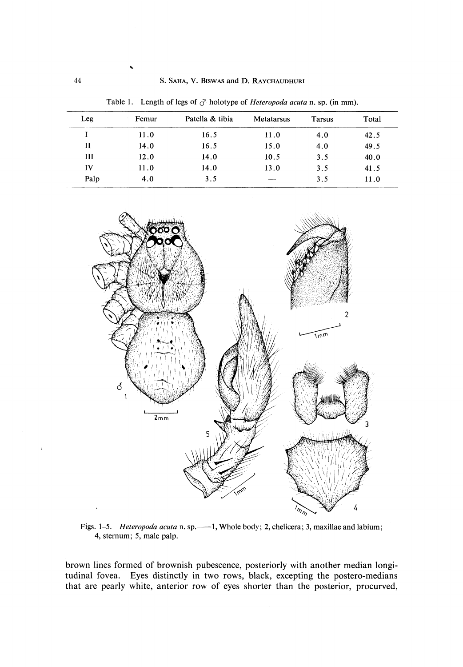44 S. SAHA, V. BIswAs and D. RAYCHAUDHURI

Table 1. Length of legs of  $\sigma$  holotype of *Heteropoda acuta* n. sp. (in mm).

| Leg  | Femur | Patella & tibia | Metatarsus | <b>Tarsus</b> | Total |
|------|-------|-----------------|------------|---------------|-------|
|      | 11.0  | 16.5            | 11.0       | 4.0           | 42.5  |
| Н    | 14.0  | 16.5            | 15.0       | 4.0           | 49.5  |
| Ш    | 12.0  | 14.0            | 10.5       | 3.5           | 40.0  |
| IV   | 11.0  | 14.0            | 13.0       | 3.5           | 41.5  |
| Palp | 4.0   | 3.5             |            | 3.5           | 11.0  |



Figs. 1–5. Heteropoda acuta n. sp.——1, Whole body; 2, chelicera; 3, maxillae and labiun 4, sternum; 5, male pale.

brown lines formed of brownish pubescence, posteriorly with another median longitudinal fovea. Eyes distinctly in two rows, black, excepting the postero-medians that are pearly white, anterior row of eyes shorter than the posterior, procurved,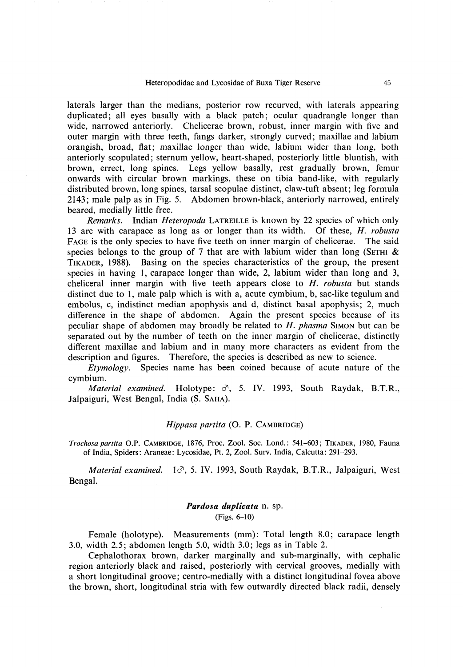laterals larger than the medians, posterior row recurved, with laterals appearing duplicated; all eyes basally with a black patch; ocular quadrangle longer than wide, narrowed anteriorly. Chelicerae brown, robust, inner margin with five and outer margin with three teeth, fangs darker, strongly curved; maxillae and labium orangish, broad, flat; maxillae longer than wide, labium wider than long, both anteriorly scopulated; sternum yellow, heart-shaped, posteriorly little bluntish, with brown, errect, long spines. Legs yellow basally, rest gradually brown, femur onwards with circular brown markings, these on tibia band-like, with regularly distributed brown, long spines, tarsal scopulae distinct, claw-tuft absent; leg formula 2143; male palp as in Fig. 5. Abdomen brown-black, anteriorly narrowed, entirely beared, medially little free.

Remarks. Indian Heteropoda LATREILLE is known by 22 species of which only 13 are with carapace as long as or longer than its width. Of these, *H. robusta* FAGE is the only species to have five teeth on inner margin of chelicerae. The said species belongs to the group of 7 that are with labium wider than long (SETHI  $\&$ TIKADER, 1988). Basing on the species characteristics of the group, the present species in having 1, carapace longer than wide, 2, labium wider than long and 3, cheliceral inner margin with five teeth appears close to  $H$ . *robusta* but stands distinct due to 1, male palp which is with a, acute cymbium, b, sac-like tegulum and embolus, c, indistinct median apophysis and d, distinct basal apophysis; 2, much difference in the shape of abdomen. Again the present species because of its peculiar shape of abdomen may broadly be related to  $H$ . phasma SIMON but can be separated out by the number of teeth on the inner margin of chelicerae, distinctly different maxillae and labium and in many more characters as evident from the description and figures. Therefore, the species is described as new to science.

 Etymology. Species name has been coined because of acute nature of the cymbium.

Material examined. Holotype:  $\sigma$ , 5. IV. 1993, South Raydak, B.T.R., Jalpaiguri, West Bengal, India (S. SAHA).

## Hippasa partita (0. P. CAMBRIDGE)

Trochosa partita OP. CAMBRIDGE, 1876, Proc. Zool. Soc. Lond.: 541-603; TIKADER, 1980, Fauna of India, Spiders: Araneae: Lycosidae, Pt. 2, Zool. Surv. India, Calcutta: 291-293.

Material examined.  $1\sigma$ , 5. IV. 1993, South Raydak, B.T.R., Jalpaiguri, West Bengal.

# Pardosa duplicata n. sp. (Figs. 6-10)

Female (holotype). Measurements (mm): Total length 8.0; carapace length 3.0, width 2.5; abdomen length 5.0, width 3.0; legs as in Table 2.

 Cephalothorax brown, darker marginally and sub-marginally, with cephalic region anteriorly black and raised, posteriorly with cervical grooves, medially with a short longitudinal groove; centro-medially with a distinct longitudinal fovea above the brown, short, longitudinal stria with few outwardly directed black radii, densely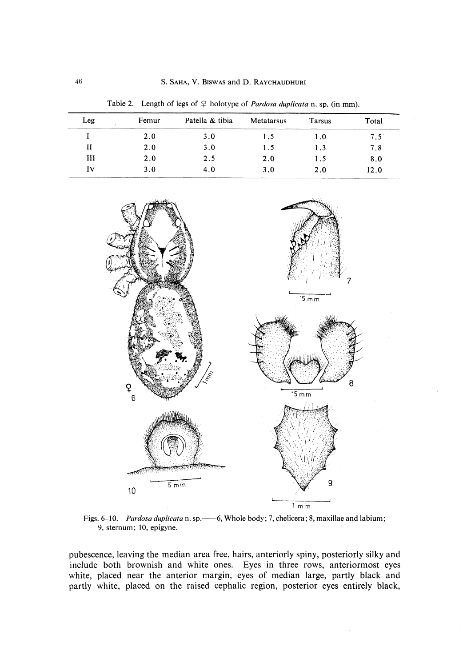Table 2. Length of legs of  $\varphi$  holotype of *Pardosa duplicata* n, sp. (in mm).

| Leg | Femur | Patella & tibia | Metatarsus | <b>Tarsus</b> | Total |
|-----|-------|-----------------|------------|---------------|-------|
|     | 2.0   | 3.0             | 1.5        | 1.0           | 7.5   |
|     | 2.0   | 3.0             | 1.5        | l 3           | 7.8   |
| Ш   | 2.0   | 2.5             | 2.0        | 1.5           | 8.0   |
| īV  | 3.0   |                 | 3.0        | 2.0           | 12.0  |

 $5 \overline{mm}$  $\frac{6}{3}$ 8  $\overline{\cdot$ 5 mm q  $5mm$  $10$  $1 \text{ m m}$ 

Figs. 6–10. Pardosa duplicata n. sp.—6, Whole body; 7, chelicera; 8, maxillae and labiun 9, sternum; 10, epigyne.

pubescence, leaving the median area free, hairs, anteriorly spiny, posteriorly silky and include both brownish and white ones. Eyes in three rows, anteriormost eyes white, placed near the anterior margin, eyes of median large, partly black and partly white, placed on the raised cephalic region, posterior eyes entirely black,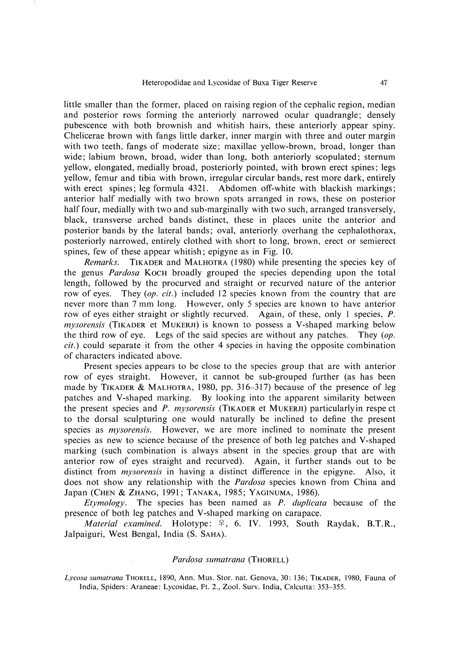little smaller than the former, placed on raising region of the cephalic region, median and posterior rows forming the anteriorly narrowed ocular quadrangle; densely pubescence with both brownish and whitish hairs, these anteriorly appear spiny. Chelicerae brown with fangs little darker, inner margin with three and outer margin with two teeth, fangs of moderate size; maxillae yellow-brown, broad, longer than wide; labium brown, broad, wider than long, both anteriorly scopulated; sternum yellow, elongated, medially broad, posteriorly pointed, with brown erect spines; legs yellow, femur and tibia with brown, irregular circular bands, rest more dark, entirely with erect spines; leg formula 4321. Abdomen off-white with blackish markings; anterior half medially with two brown spots arranged in rows, these on posterior half four, medially with two and sub-marginally with two such, arranged transversely, black, transverse arched bands distinct, these in places unite the anterior and posterior bands by the lateral bands; oval, anteriorly overhang the cephalothorax, posteriorly narrowed, entirely clothed with short to long, brown, erect or semierect spines, few of these appear whitish; epigyne as in Fig. 10.

 Remarks. TIKADER and MALHOTRA (1980) while presenting the species key of the genus Pardosa KOCH broadly grouped the species depending upon the total length, followed by the procurved and straight or recurved nature of the anterior row of eyes. They (*op. cit.*) included 12 species known from the country that are never more than 7 mm long. However, only 5 species are known to have anterior row of eyes either straight or slightly recurved. Again, of these, only 1 species, P. mysorensis (TIKADER et MUKERJI) is known to possess a V-shaped marking below the third row of eye. Legs of the said species are without any patches. They  $(op.$ cit.) could separate it from the other 4 species in having the opposite combination of characters indicated above.

 Present species appears to be close to the species group that are with anterior row of eyes straight. However, it cannot be sub-grouped further (as has been made by TIKADER & MALHOTRA, 1980, pp. 316-317) because of the presence of leg patches and V-shaped marking. By looking into the apparent similarity between the present species and P. mysorensis (TIKADER et MUKERJI) particularly in respe ct to the dorsal sculpturing one would naturally be inclined to define the present species as *mysorensis*. However, we are more inclined to nominate the present species as new to science because of the presence of both leg patches and V-shaped marking (such combination is always absent in the species group that are with anterior row of eyes straight and recurved). Again, it further stands out to be distinct from *mysorensis* in having a distinct difference in the epigyne. Also, it does not show any relationship with the *Pardosa* species known from China and Japan (CHEN & ZHANG, 1991; TANAKA, 1985; YAGINUMA, 1986).

Etymology. The species has been named as  $P$ . duplicata because of the presence of both leg patches and V-shaped marking on carapace.

Material examined. Holotype:  $\varphi$ , 6. IV. 1993, South Raydak, B.T.R., Jalpaiguri, West Bengal, India (S. SAHA).

#### Pardosa sumatrana (THORELL)

Lycosa sumatrana THORELL, 1890, Ann. Mus. Stor. nat. Genova, 30: 136; TIKADER, 1980, Fauna of India, Spiders: Araneae: Lycosidae, Ft. 2., Zool. Surv. India, Calcutta: 353-355.